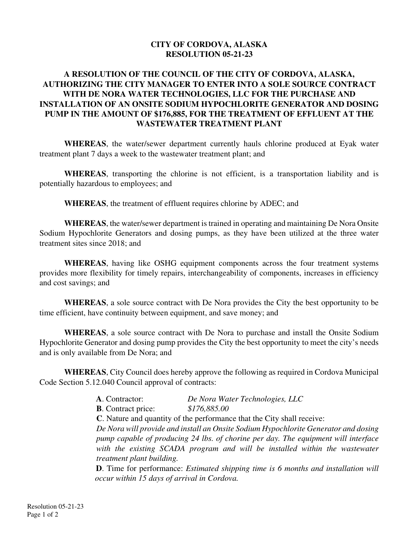## **CITY OF CORDOVA, ALASKA RESOLUTION 05-21-23**

## **A RESOLUTION OF THE COUNCIL OF THE CITY OF CORDOVA, ALASKA, AUTHORIZING THE CITY MANAGER TO ENTER INTO A SOLE SOURCE CONTRACT WITH DE NORA WATER TECHNOLOGIES, LLC FOR THE PURCHASE AND INSTALLATION OF AN ONSITE SODIUM HYPOCHLORITE GENERATOR AND DOSING PUMP IN THE AMOUNT OF \$176,885, FOR THE TREATMENT OF EFFLUENT AT THE WASTEWATER TREATMENT PLANT**

**WHEREAS**, the water/sewer department currently hauls chlorine produced at Eyak water treatment plant 7 days a week to the wastewater treatment plant; and

**WHEREAS**, transporting the chlorine is not efficient, is a transportation liability and is potentially hazardous to employees; and

**WHEREAS**, the treatment of effluent requires chlorine by ADEC; and

**WHEREAS**, the water/sewer department is trained in operating and maintaining De Nora Onsite Sodium Hypochlorite Generators and dosing pumps, as they have been utilized at the three water treatment sites since 2018; and

**WHEREAS**, having like OSHG equipment components across the four treatment systems provides more flexibility for timely repairs, interchangeability of components, increases in efficiency and cost savings; and

**WHEREAS**, a sole source contract with De Nora provides the City the best opportunity to be time efficient, have continuity between equipment, and save money; and

**WHEREAS**, a sole source contract with De Nora to purchase and install the Onsite Sodium Hypochlorite Generator and dosing pump provides the City the best opportunity to meet the city's needs and is only available from De Nora; and

**WHEREAS**, City Council does hereby approve the following as required in Cordova Municipal Code Section 5.12.040 Council approval of contracts:

> **A**. Contractor: *De Nora Water Technologies, LLC* **B**. Contract price: *\$176,885.00* **C**. Nature and quantity of the performance that the City shall receive: *De Nora will provide and install an Onsite Sodium Hypochlorite Generator and dosing pump capable of producing 24 lbs. of chorine per day. The equipment will interface with the existing SCADA program and will be installed within the wastewater treatment plant building.*  **D**. Time for performance: *Estimated shipping time is 6 months and installation will*

> *occur within 15 days of arrival in Cordova.*